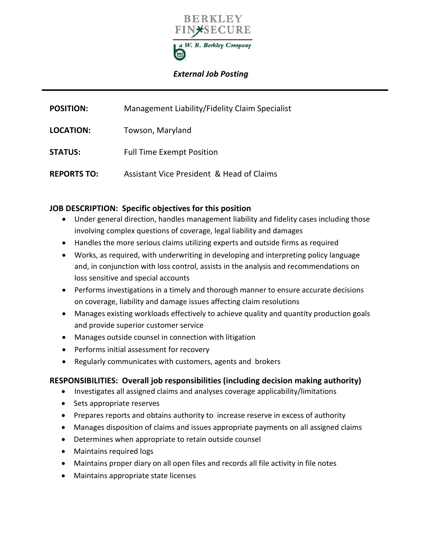

## *External Job Posting*

| <b>POSITION:</b>   | Management Liability/Fidelity Claim Specialist |
|--------------------|------------------------------------------------|
| LOCATION:          | Towson, Maryland                               |
| <b>STATUS:</b>     | <b>Full Time Exempt Position</b>               |
| <b>REPORTS TO:</b> | Assistant Vice President & Head of Claims      |

#### **JOB DESCRIPTION: Specific objectives for this position**

- Under general direction, handles management liability and fidelity cases including those involving complex questions of coverage, legal liability and damages
- Handles the more serious claims utilizing experts and outside firms as required
- Works, as required, with underwriting in developing and interpreting policy language and, in conjunction with loss control, assists in the analysis and recommendations on loss sensitive and special accounts
- Performs investigations in a timely and thorough manner to ensure accurate decisions on coverage, liability and damage issues affecting claim resolutions
- Manages existing workloads effectively to achieve quality and quantity production goals and provide superior customer service
- Manages outside counsel in connection with litigation
- Performs initial assessment for recovery
- Regularly communicates with customers, agents and brokers

### **RESPONSIBILITIES: Overall job responsibilities (including decision making authority)**

- Investigates all assigned claims and analyses coverage applicability/limitations
- Sets appropriate reserves
- Prepares reports and obtains authority to increase reserve in excess of authority
- Manages disposition of claims and issues appropriate payments on all assigned claims
- Determines when appropriate to retain outside counsel
- Maintains required logs
- Maintains proper diary on all open files and records all file activity in file notes
- Maintains appropriate state licenses